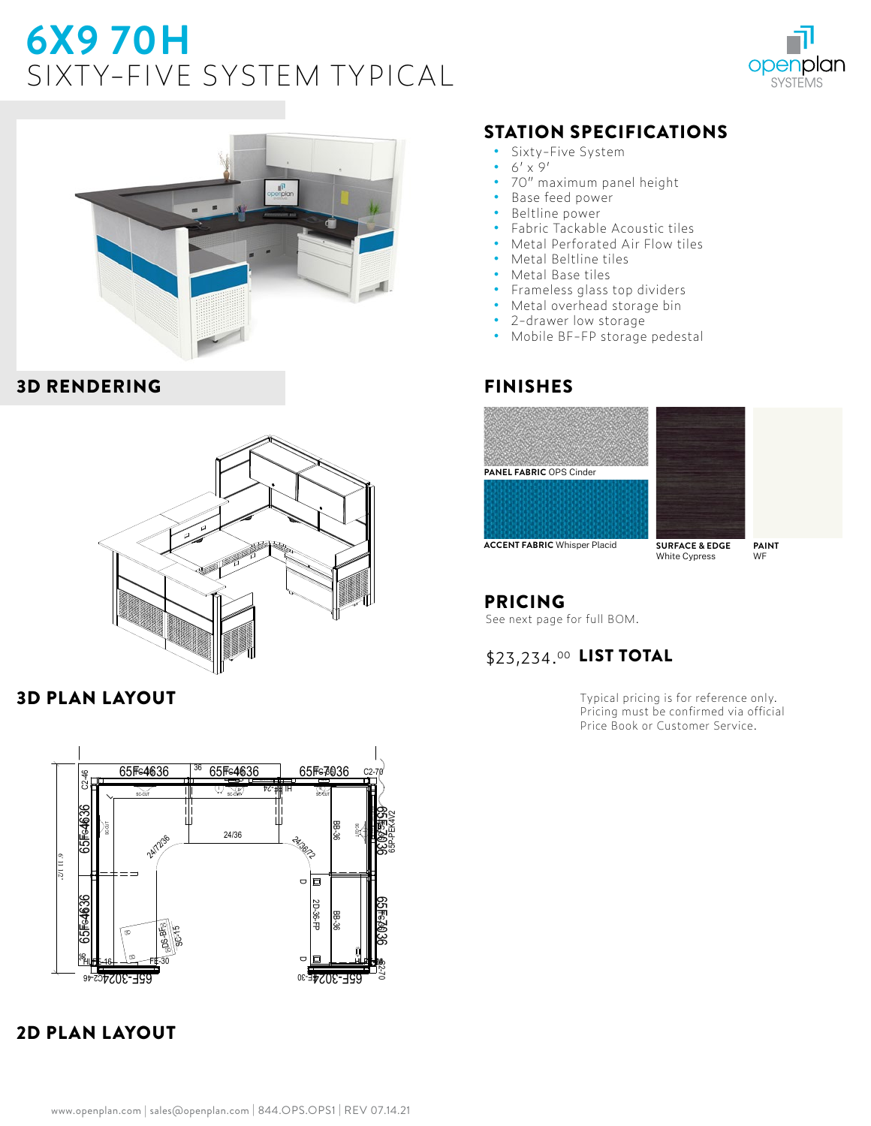# **6X9 70H**  SIXTY-FIVE SYSTEM TYPICAL





#### 3D RENDERING



#### 3D PLAN LAYOUT



# 2D PLAN LAYOUT

## STATION SPECIFICATIONS

- **•** Sixty-Five System
- **•** 6' x 9'
- **•** 70" maximum panel height
- **•** Base feed power
- **•** Beltline power
- **•** Fabric Tackable Acoustic tiles
- **•** Metal Perforated Air Flow tiles
- **•** Metal Beltline tiles
- **•** Metal Base tiles
- **•** Frameless glass top dividers
- **•** Metal overhead storage bin
- **•** 2-drawer low storage
- **•** Mobile BF-FP storage pedestal

#### FINISHES





**ACCENT FABRIC** Whisper Placid **SURFACE & EDGE** 

White Cypress

**PAINT** WF

### PRICING

See next page for full BOM.

### \$23,234.00 LIST TOTAL

Typical pricing is for reference only. Pricing must be confirmed via official Price Book or Customer Service.